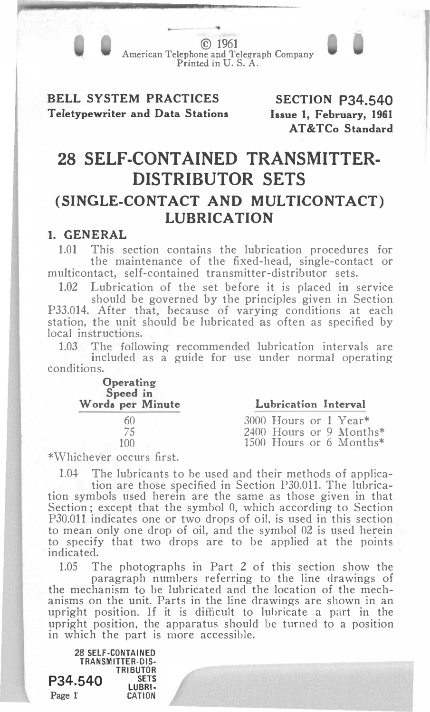© 1961 American Telephone and Telegraph Company Printed in U. S. A.

BELL SYSTEM PRACTICES Teletypewriter and Data Stations

SECTION P34.540 Issue 1, February, 1961 AT&TCo Standard

## 28 SELF-CONTAINED TRANSMITTER-DISTRIBUTOR SETS (SINGLE-CONTACT AND MULTICONTACT) LUBRICATION

## 1. GENERAL

1.01 This section contains the lubrication procedures for the maintenance of the fixed-head, single-contact or multicontact, self-contained transmitter-distributor sets.

1.02 Lubrication of the set before it is placed in service should be governed by the principles given in Section P33.014. After that, because of varying conditions at each station, the unit should be lubricated as often as specified by local instructions.

1.03 The following recommended lubrication intervals are included as a guide for use under normal operating conditions.

| Operating<br>Speed in<br>Words per Minute | Lubrication Interval    |
|-------------------------------------------|-------------------------|
|                                           | 3000 Hours or 1 Year*   |
| 75                                        | 2400 Hours or 9 Months* |
| 100                                       | 1500 Hours or 6 Months* |
|                                           |                         |

\*Whichever occurs first.

1.04 The lubricants to be used and their methods of applica-

tion are those specified in Section P30.011. The lubrication symbols used herein are the same as those given in that Section; except that the symbol 0, which according to Section P30.011 indicates one or two drops of oil, is used in this section to mean only one drop of oil, and the symbol 02 is used herein to specify that two drops are to be applied at the points ·indicated.

1.05 The photographs in Part 2 of this section show the paragraph numbers referring to the line drawings of the mechanism to be lubricated and the location of the mechanisms on the unit. Parts in the line drawings are shown in an upright position. If it is difficult to lubricate a part in the upright position, the apparatus should be turned to a position in which the part is more accessible.

28 SElF-CONTAINED TRANSMITTER-DIS-TRIBUTOR P34.540 **SETS** LUBRI-Page 1' CATION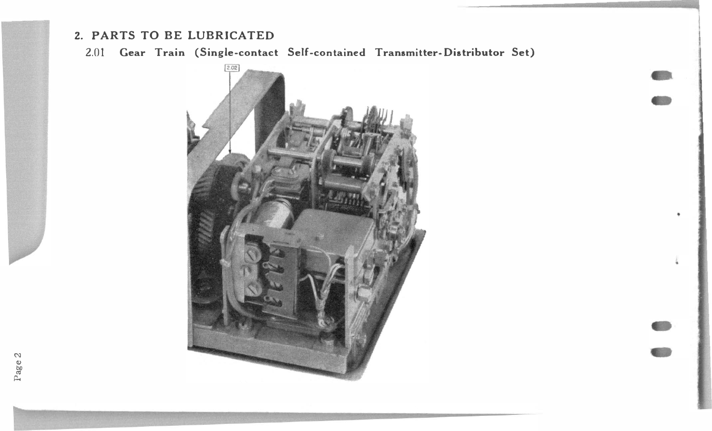## 2. PARTS TO BE LUBRICATED

2.01 Gear Train (Single-contact Self-contained Transmitter-Distributor Set)



Page 2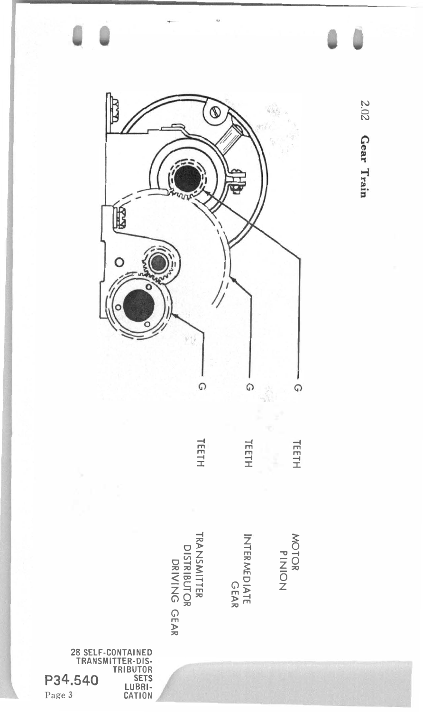

202 Gear Train

 $\Omega$ 

TEETH

Page 3

P34.540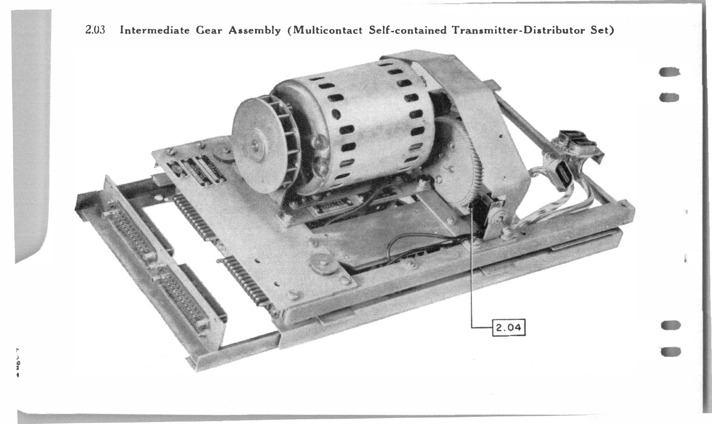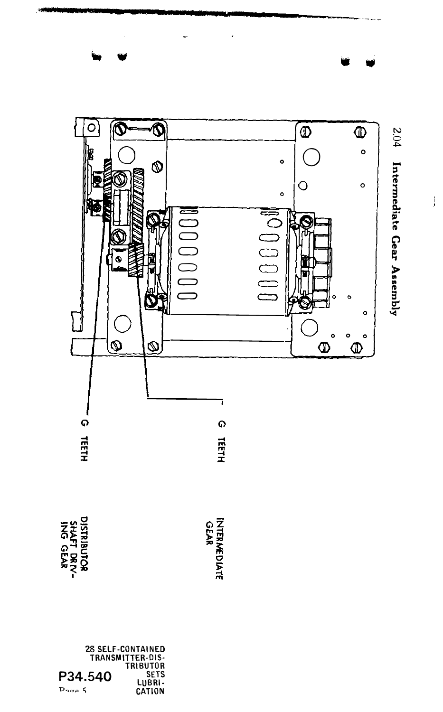

28 SELF-CONTAINED<br>TRANSMITTER-DIS-TRIBUTOR<br>TRIBUTOR<br>LUBRI-<br>CATION P34.540 Done 5

2.04 Intermediate Gear Assembly